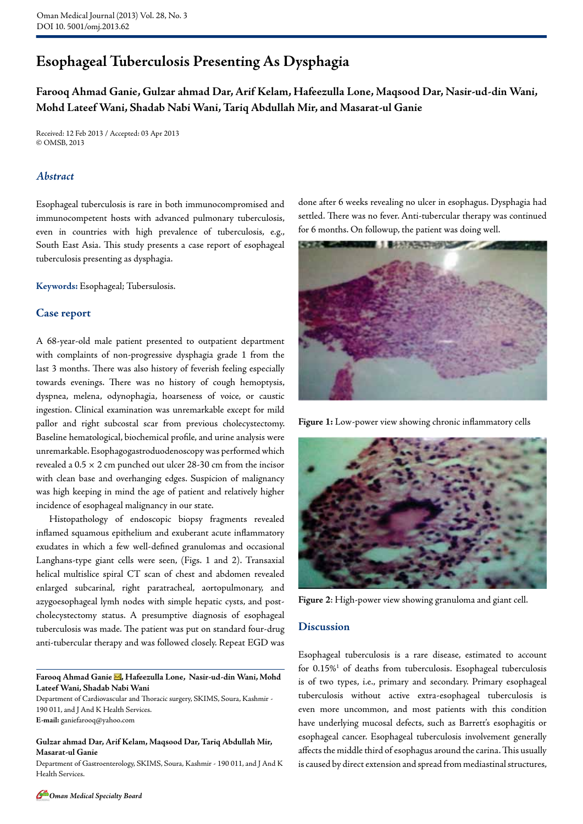# **Esophageal Tuberculosis Presenting As Dysphagia**

**Farooq Ahmad Ganie, Gulzar ahmad Dar, Arif Kelam, Hafeezulla Lone, Maqsood Dar, Nasir-ud-din Wani, Mohd Lateef Wani, Shadab Nabi Wani, Tariq Abdullah Mir, and Masarat-ul Ganie**

Received: 12 Feb 2013 / Accepted: 03 Apr 2013 © OMSB, 2013

## *Abstract*

Esophageal tuberculosis is rare in both immunocompromised and immunocompetent hosts with advanced pulmonary tuberculosis, even in countries with high prevalence of tuberculosis, e.g., South East Asia. This study presents a case report of esophageal tuberculosis presenting as dysphagia.

**Keywords:** Esophageal; Tubersulosis.

#### **Case report**

A 68-year-old male patient presented to outpatient department with complaints of non-progressive dysphagia grade 1 from the last 3 months. There was also history of feverish feeling especially towards evenings. There was no history of cough hemoptysis, dyspnea, melena, odynophagia, hoarseness of voice, or caustic ingestion. Clinical examination was unremarkable except for mild pallor and right subcostal scar from previous cholecystectomy. Baseline hematological, biochemical profile, and urine analysis were unremarkable. Esophagogastroduodenoscopy was performed which revealed a 0.5 × 2 cm punched out ulcer 28-30 cm from the incisor with clean base and overhanging edges. Suspicion of malignancy was high keeping in mind the age of patient and relatively higher incidence of esophageal malignancy in our state.

Histopathology of endoscopic biopsy fragments revealed inflamed squamous epithelium and exuberant acute inflammatory exudates in which a few well-defined granulomas and occasional Langhans-type giant cells were seen, (Figs. 1 and 2). Transaxial helical multislice spiral CT scan of chest and abdomen revealed enlarged subcarinal, right paratracheal, aortopulmonary, and azygoesophageal lymh nodes with simple hepatic cysts, and postcholecystectomy status. A presumptive diagnosis of esophageal tuberculosis was made. The patient was put on standard four-drug anti-tubercular therapy and was followed closely. Repeat EGD was

Farooq Ahmad Ganie <a>, Hafeezulla Lone, Nasir-ud-din Wani, Mohd **Lateef Wani, Shadab Nabi Wani**

Department of Cardiovascular and Thoracic surgery, SKIMS, Soura, Kashmir -190 011, and J And K Health Services. **E-mail:** ganiefarooq@yahoo.com

**Gulzar ahmad Dar, Arif Kelam, Maqsood Dar, Tariq Abdullah Mir, Masarat-ul Ganie**

Department of Gastroenterology, SKIMS, Soura, Kashmir - 190 011, and J And K Health Services.

done after 6 weeks revealing no ulcer in esophagus. Dysphagia had settled. There was no fever. Anti-tubercular therapy was continued for 6 months. On followup, the patient was doing well.



**Figure 1:** Low-power view showing chronic inflammatory cells



**Figure 2**: High-power view showing granuloma and giant cell.

#### **Discussion**

Esophageal tuberculosis is a rare disease, estimated to account for 0.15%<sup>1</sup> of deaths from tuberculosis. Esophageal tuberculosis is of two types, i.e., primary and secondary. Primary esophageal tuberculosis without active extra-esophageal tuberculosis is even more uncommon, and most patients with this condition have underlying mucosal defects, such as Barrett's esophagitis or esophageal cancer. Esophageal tuberculosis involvement generally affects the middle third of esophagus around the carina. This usually is caused by direct extension and spread from mediastinal structures,